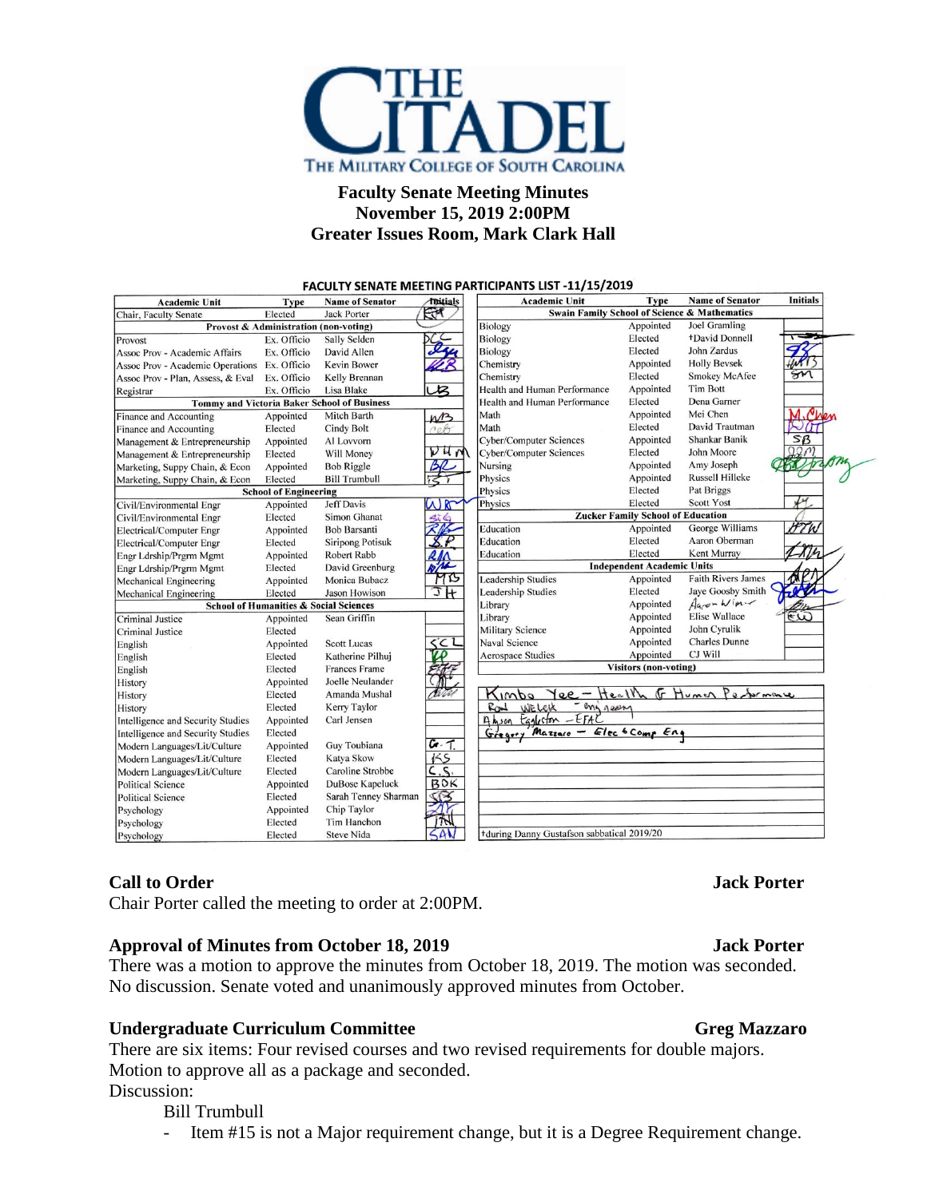

## **Faculty Senate Meeting Minutes November 15, 2019 2:00PM Greater Issues Room, Mark Clark Hall**

|                                                    |                              |                         |                          | <b>FACULTY SENATE MEETING PARTICIPANTS LIST -11/15/2019</b> |                                          |                                                         |                 |
|----------------------------------------------------|------------------------------|-------------------------|--------------------------|-------------------------------------------------------------|------------------------------------------|---------------------------------------------------------|-----------------|
| <b>Academic Unit</b>                               | Type                         | <b>Name of Senator</b>  | <i><b>Titials</b></i>    | <b>Academic Unit</b>                                        | Type                                     | <b>Name of Senator</b>                                  | <b>Initials</b> |
| Chair, Faculty Senate                              | Elected                      | <b>Jack Porter</b>      | $-1$                     |                                                             |                                          | <b>Swain Family School of Science &amp; Mathematics</b> |                 |
| Provost & Administration (non-voting)              |                              |                         |                          | <b>Biology</b>                                              | Appointed                                | Joel Gramling                                           |                 |
| Provost                                            | Ex. Officio                  | Sally Selden            |                          | Biology                                                     | Elected                                  | +David Donnell                                          |                 |
| <b>Assoc Prov - Academic Affairs</b>               | Ex. Officio                  | David Allen             |                          | <b>Biology</b>                                              | Elected                                  | John Zardus                                             |                 |
| Assoc Prov - Academic Operations Ex. Officio       |                              | <b>Kevin Bower</b>      |                          | Chemistry                                                   | Appointed                                | <b>Holly Bevsek</b>                                     |                 |
| Assoc Prov - Plan, Assess, & Eval                  | Ex. Officio                  | Kelly Brennan           |                          | Chemistry                                                   | Elected                                  | <b>Smokey McAfee</b>                                    |                 |
| Registrar                                          | Ex. Officio                  | Lisa Blake              | $\mathcal{B}$            | Health and Human Performance                                | Appointed                                | <b>Tim Bott</b>                                         |                 |
| <b>Tommy and Victoria Baker School of Business</b> |                              |                         |                          | Health and Human Performance                                | Elected                                  | Dena Garner                                             |                 |
| Finance and Accounting                             | Appointed                    | Mitch Barth             | M <sup>2</sup>           | Math                                                        | Appointed                                | Mei Chen                                                |                 |
| Finance and Accounting                             | Elected                      | Cindy Bolt              | 205                      | Math                                                        | Elected                                  | David Trautman                                          |                 |
| Management & Entrepreneurship                      | Appointed                    | Al Lovvorn              |                          | <b>Cyber/Computer Sciences</b>                              | Appointed                                | Shankar Banik                                           | SB              |
| Management & Entrepreneurship                      | Elected                      | Will Money              | $V$ 4 $N$                | <b>Cyber/Computer Sciences</b>                              | Elected                                  | John Moore                                              |                 |
| Marketing, Suppy Chain, & Econ                     | Appointed                    | <b>Bob Riggle</b>       |                          | Nursing                                                     | Appointed                                | Amy Joseph                                              |                 |
| Marketing, Suppy Chain, & Econ                     | Elected                      | <b>Bill Trumbull</b>    |                          | Physics                                                     | Appointed                                | Russell Hilleke                                         |                 |
|                                                    | <b>School of Engineering</b> |                         |                          | Physics                                                     | Elected                                  | Pat Briggs                                              |                 |
| Civil/Environmental Engr                           | Appointed                    | <b>Jeff Davis</b>       | $\mathbb{R}$<br>V)       | Physics                                                     | Elected                                  | <b>Scott Yost</b>                                       | ↵               |
| Civil/Environmental Engr                           | Elected                      | Simon Ghanat            | $\circ$                  |                                                             | <b>Zucker Family School of Education</b> |                                                         |                 |
| Electrical/Computer Engr                           | Appointed                    | <b>Bob Barsanti</b>     |                          | Education                                                   | Appointed                                | George Williams                                         | HT W            |
| Electrical/Computer Engr                           | Elected                      | <b>Siripong Potisuk</b> |                          | Education                                                   | Elected                                  | Aaron Oberman                                           |                 |
| Engr Ldrship/Prgrm Mgmt                            | Appointed                    | Robert Rabb             |                          | Education                                                   | Elected                                  | Kent Murray                                             |                 |
| Engr Ldrship/Prgrm Mgmt                            | Elected                      | David Greenburg         | $\overline{\mathcal{M}}$ |                                                             | <b>Independent Academic Units</b>        |                                                         |                 |
| Mechanical Engineering                             | Appointed                    | Monica Bubacz           | MB                       | <b>Leadership Studies</b>                                   | Appointed                                | <b>Faith Rivers James</b>                               |                 |
| Mechanical Engineering                             | Elected                      | Jason Howison           | JH                       | <b>Leadership Studies</b>                                   | Elected                                  | Jaye Goosby Smith                                       |                 |
| <b>School of Humanities &amp; Social Sciences</b>  |                              |                         | Library                  | Appointed                                                   | Agron Win-                               |                                                         |                 |
| <b>Criminal Justice</b>                            | Appointed                    | Sean Griffin            |                          | Library                                                     | Appointed                                | <b>Elise Wallace</b>                                    | $\epsilon(u)$   |
| Criminal Justice                                   | Elected                      |                         |                          | <b>Military Science</b>                                     | Appointed                                | John Cyrulik                                            |                 |
| English                                            | Appointed                    | <b>Scott Lucas</b>      | ぐこし                      | <b>Naval Science</b>                                        | Appointed                                | <b>Charles Dunne</b>                                    |                 |
| English                                            | Elected                      | Katherine Pilhui        |                          | <b>Aerospace Studies</b>                                    | Appointed                                | CJ Will                                                 |                 |
| English                                            | Elected                      | <b>Frances Frame</b>    |                          |                                                             | <b>Visitors (non-voting)</b>             |                                                         |                 |
| History                                            | Appointed                    | Joelle Neulander        |                          |                                                             |                                          |                                                         |                 |
| History                                            | Elected                      | Amanda Mushal           |                          | -<br>Q, Q<br>Kimbo                                          | Health                                   | F Humer<br>Postermane                                   |                 |
| History                                            | Elected                      | Kerry Taylor            |                          | eng jeem<br>Rood<br>WELCH                                   |                                          |                                                         |                 |
| Intelligence and Security Studies                  | Appointed                    | Carl Jensen             |                          | Eggleston - EFAC<br>$A$ <i>h</i> $500$                      |                                          |                                                         |                 |
| Intelligence and Security Studies                  | Elected                      |                         |                          | Mazzaro - Elec 6 Comp Eng<br>Greger                         |                                          |                                                         |                 |
| Modern Languages/Lit/Culture                       | Appointed                    | Guy Toubiana            | $G\cdot T$               |                                                             |                                          |                                                         |                 |
| Modern Languages/Lit/Culture                       | Elected                      | Katya Skow              | 155                      |                                                             |                                          |                                                         |                 |
| Modern Languages/Lit/Culture                       | Elected                      | Caroline Strobbe        | C.S.                     |                                                             |                                          |                                                         |                 |
| <b>Political Science</b>                           | Appointed                    | DuBose Kapeluck         | BOK                      |                                                             |                                          |                                                         |                 |
| <b>Political Science</b>                           | Elected                      | Sarah Tenney Sharman    | τ⊘                       |                                                             |                                          |                                                         |                 |
| Psychology                                         | Appointed                    | Chip Taylor             |                          |                                                             |                                          |                                                         |                 |
| Psychology                                         | Elected                      | Tim Hanchon             |                          |                                                             |                                          |                                                         |                 |
| Psychology                                         | Elected                      | <b>Steve Nida</b>       |                          | +during Danny Gustafson sabbatical 2019/20                  |                                          |                                                         |                 |

## **Call to Order Jack Porter**

Chair Porter called the meeting to order at 2:00PM.

### **Approval of Minutes from October 18, 2019 Jack Porter**

There was a motion to approve the minutes from October 18, 2019. The motion was seconded. No discussion. Senate voted and unanimously approved minutes from October.

## **Undergraduate Curriculum Committee Gregier Greg Mazzaro**

There are six items: Four revised courses and two revised requirements for double majors. Motion to approve all as a package and seconded. Discussion:

Bill Trumbull

- Item #15 is not a Major requirement change, but it is a Degree Requirement change.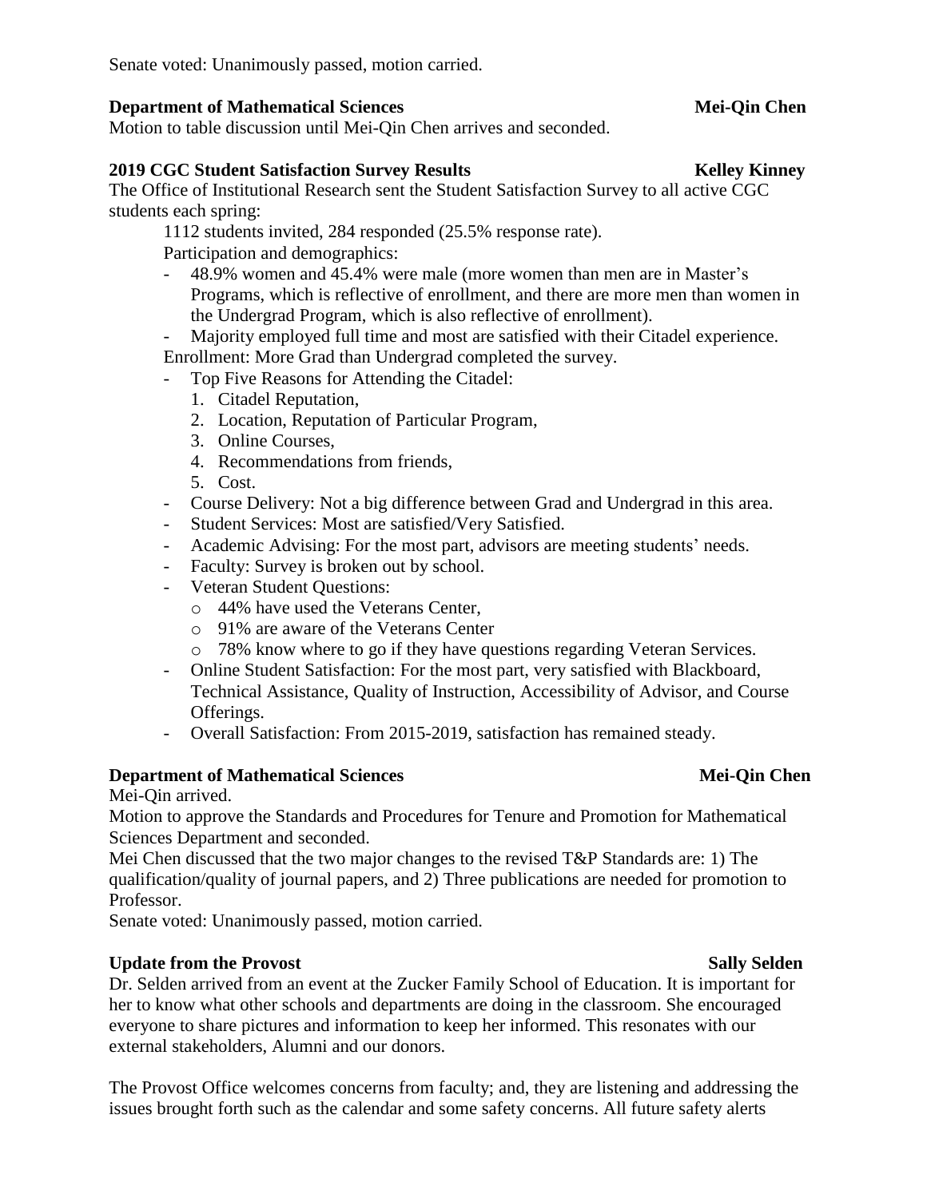Senate voted: Unanimously passed, motion carried.

### **Department of Mathematical Sciences** Mei-Qin Chen

Motion to table discussion until Mei-Qin Chen arrives and seconded.

### **2019 CGC Student Satisfaction Survey Results Kelley Kinney**

The Office of Institutional Research sent the Student Satisfaction Survey to all active CGC students each spring:

1112 students invited, 284 responded (25.5% response rate).

Participation and demographics:

- 48.9% women and 45.4% were male (more women than men are in Master's Programs, which is reflective of enrollment, and there are more men than women in the Undergrad Program, which is also reflective of enrollment).
- Majority employed full time and most are satisfied with their Citadel experience.

Enrollment: More Grad than Undergrad completed the survey.

- Top Five Reasons for Attending the Citadel:
	- 1. Citadel Reputation,
	- 2. Location, Reputation of Particular Program,
	- 3. Online Courses,
	- 4. Recommendations from friends,
	- 5. Cost.
- Course Delivery: Not a big difference between Grad and Undergrad in this area.
- Student Services: Most are satisfied/Very Satisfied.
- Academic Advising: For the most part, advisors are meeting students' needs.
- Faculty: Survey is broken out by school.
- Veteran Student Questions:
	- o 44% have used the Veterans Center,
	- o 91% are aware of the Veterans Center
	- o 78% know where to go if they have questions regarding Veteran Services.
- Online Student Satisfaction: For the most part, very satisfied with Blackboard, Technical Assistance, Quality of Instruction, Accessibility of Advisor, and Course Offerings.
- Overall Satisfaction: From 2015-2019, satisfaction has remained steady.

### **Department of Mathematical Sciences** Mei-Qin Chen

Mei-Qin arrived.

Motion to approve the Standards and Procedures for Tenure and Promotion for Mathematical Sciences Department and seconded.

Mei Chen discussed that the two major changes to the revised T&P Standards are: 1) The qualification/quality of journal papers, and 2) Three publications are needed for promotion to Professor.

Senate voted: Unanimously passed, motion carried.

### **Update from the Provost Sally Selden**

Dr. Selden arrived from an event at the Zucker Family School of Education. It is important for her to know what other schools and departments are doing in the classroom. She encouraged everyone to share pictures and information to keep her informed. This resonates with our external stakeholders, Alumni and our donors.

The Provost Office welcomes concerns from faculty; and, they are listening and addressing the issues brought forth such as the calendar and some safety concerns. All future safety alerts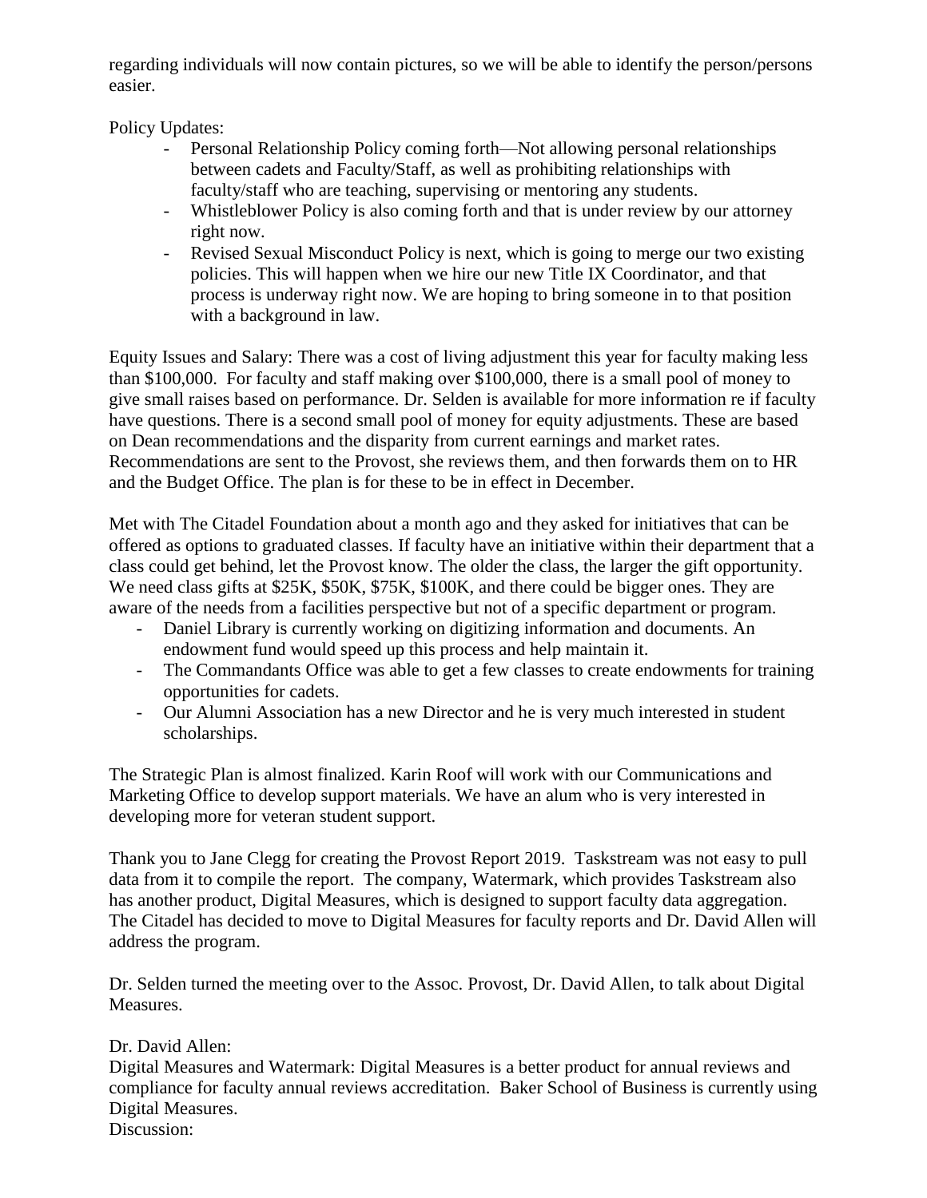regarding individuals will now contain pictures, so we will be able to identify the person/persons easier.

Policy Updates:

- Personal Relationship Policy coming forth—Not allowing personal relationships between cadets and Faculty/Staff, as well as prohibiting relationships with faculty/staff who are teaching, supervising or mentoring any students.
- Whistleblower Policy is also coming forth and that is under review by our attorney right now.
- Revised Sexual Misconduct Policy is next, which is going to merge our two existing policies. This will happen when we hire our new Title IX Coordinator, and that process is underway right now. We are hoping to bring someone in to that position with a background in law.

Equity Issues and Salary: There was a cost of living adjustment this year for faculty making less than \$100,000. For faculty and staff making over \$100,000, there is a small pool of money to give small raises based on performance. Dr. Selden is available for more information re if faculty have questions. There is a second small pool of money for equity adjustments. These are based on Dean recommendations and the disparity from current earnings and market rates. Recommendations are sent to the Provost, she reviews them, and then forwards them on to HR and the Budget Office. The plan is for these to be in effect in December.

Met with The Citadel Foundation about a month ago and they asked for initiatives that can be offered as options to graduated classes. If faculty have an initiative within their department that a class could get behind, let the Provost know. The older the class, the larger the gift opportunity. We need class gifts at \$25K, \$50K, \$75K, \$100K, and there could be bigger ones. They are aware of the needs from a facilities perspective but not of a specific department or program.

- Daniel Library is currently working on digitizing information and documents. An endowment fund would speed up this process and help maintain it.
- The Commandants Office was able to get a few classes to create endowments for training opportunities for cadets.
- Our Alumni Association has a new Director and he is very much interested in student scholarships.

The Strategic Plan is almost finalized. Karin Roof will work with our Communications and Marketing Office to develop support materials. We have an alum who is very interested in developing more for veteran student support.

Thank you to Jane Clegg for creating the Provost Report 2019. Taskstream was not easy to pull data from it to compile the report. The company, Watermark, which provides Taskstream also has another product, Digital Measures, which is designed to support faculty data aggregation. The Citadel has decided to move to Digital Measures for faculty reports and Dr. David Allen will address the program.

Dr. Selden turned the meeting over to the Assoc. Provost, Dr. David Allen, to talk about Digital Measures.

## Dr. David Allen:

Digital Measures and Watermark: Digital Measures is a better product for annual reviews and compliance for faculty annual reviews accreditation. Baker School of Business is currently using Digital Measures.

Discussion: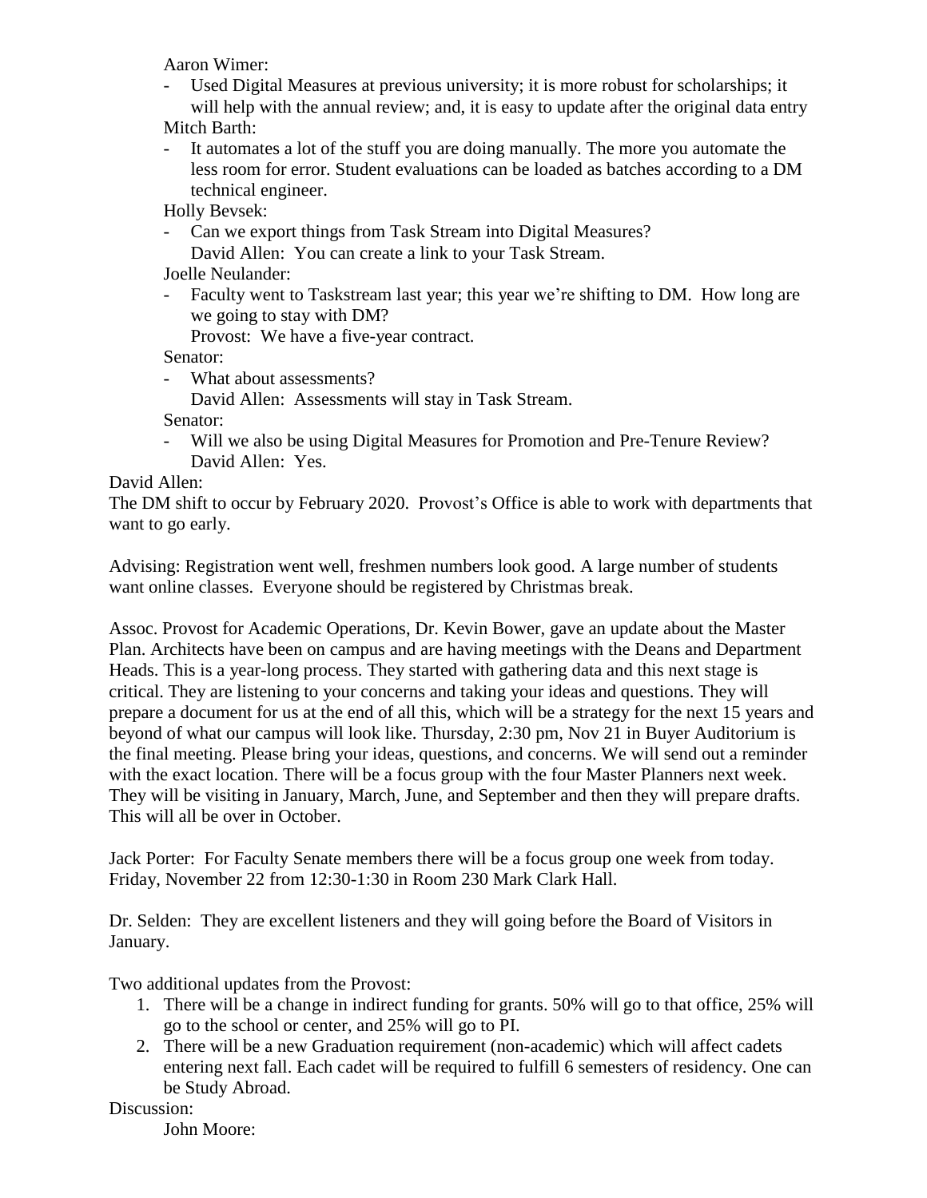Aaron Wimer:

- Used Digital Measures at previous university; it is more robust for scholarships; it will help with the annual review; and, it is easy to update after the original data entry Mitch Barth:

- It automates a lot of the stuff you are doing manually. The more you automate the less room for error. Student evaluations can be loaded as batches according to a DM technical engineer.

Holly Bevsek:

- Can we export things from Task Stream into Digital Measures? David Allen: You can create a link to your Task Stream.

Joelle Neulander:

- Faculty went to Taskstream last year; this year we're shifting to DM. How long are we going to stay with DM?

Provost: We have a five-year contract.

Senator:

- What about assessments?

David Allen: Assessments will stay in Task Stream.

Senator:

- Will we also be using Digital Measures for Promotion and Pre-Tenure Review? David Allen: Yes.

## David Allen:

The DM shift to occur by February 2020. Provost's Office is able to work with departments that want to go early.

Advising: Registration went well, freshmen numbers look good. A large number of students want online classes. Everyone should be registered by Christmas break.

Assoc. Provost for Academic Operations, Dr. Kevin Bower, gave an update about the Master Plan. Architects have been on campus and are having meetings with the Deans and Department Heads. This is a year-long process. They started with gathering data and this next stage is critical. They are listening to your concerns and taking your ideas and questions. They will prepare a document for us at the end of all this, which will be a strategy for the next 15 years and beyond of what our campus will look like. Thursday, 2:30 pm, Nov 21 in Buyer Auditorium is the final meeting. Please bring your ideas, questions, and concerns. We will send out a reminder with the exact location. There will be a focus group with the four Master Planners next week. They will be visiting in January, March, June, and September and then they will prepare drafts. This will all be over in October.

Jack Porter: For Faculty Senate members there will be a focus group one week from today. Friday, November 22 from 12:30-1:30 in Room 230 Mark Clark Hall.

Dr. Selden: They are excellent listeners and they will going before the Board of Visitors in January.

Two additional updates from the Provost:

- 1. There will be a change in indirect funding for grants. 50% will go to that office, 25% will go to the school or center, and 25% will go to PI.
- 2. There will be a new Graduation requirement (non-academic) which will affect cadets entering next fall. Each cadet will be required to fulfill 6 semesters of residency. One can be Study Abroad.

Discussion:

John Moore: